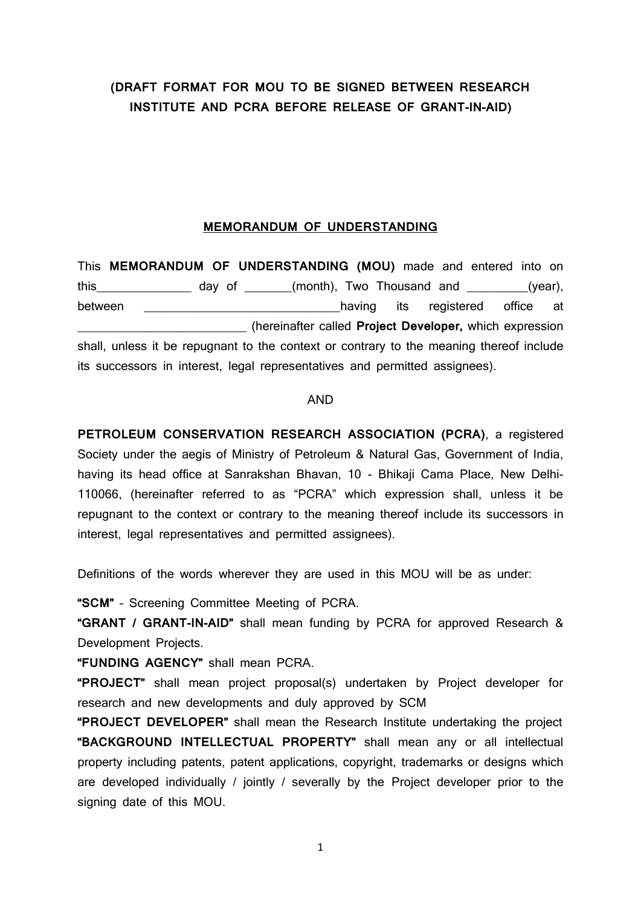## **(DRAFT FORMAT FOR MOU TO BE SIGNED BETWEEN RESEARCH INSTITUTE AND PCRA BEFORE RELEASE OF GRANT-IN-AID)**

### **MEMORANDUM OF UNDERSTANDING**

This **MEMORANDUM OF UNDERSTANDING (MOU)** made and entered into on this day of \_\_\_\_\_\_(month), Two Thousand and \_\_\_\_\_\_\_(year), between **between between between between between between between between between between between between between between between between between between between b** \_\_\_\_\_\_\_\_\_\_\_\_\_\_\_\_\_\_\_\_\_\_\_\_\_ (hereinafter called **Project Developer,** which expression shall, unless it be repugnant to the context or contrary to the meaning thereof include its successors in interest, legal representatives and permitted assignees).

#### AND

**PETROLEUM CONSERVATION RESEARCH ASSOCIATION (PCRA)**, a registered Society under the aegis of Ministry of Petroleum & Natural Gas, Government of India, having its head office at Sanrakshan Bhavan, 10 - Bhikaji Cama Place, New Delhi-110066, (hereinafter referred to as "PCRA" which expression shall, unless it be repugnant to the context or contrary to the meaning thereof include its successors in interest, legal representatives and permitted assignees).

Definitions of the words wherever they are used in this MOU will be as under:

**"SCM"** – Screening Committee Meeting of PCRA.

**"GRANT / GRANT-IN-AID"** shall mean funding by PCRA for approved Research & Development Projects.

**"FUNDING AGENCY"** shall mean PCRA.

**"PROJECT"** shall mean project proposal(s) undertaken by Project developer for research and new developments and duly approved by SCM

**"PROJECT DEVELOPER"** shall mean the Research Institute undertaking the project **"BACKGROUND INTELLECTUAL PROPERTY"** shall mean any or all intellectual property including patents, patent applications, copyright, trademarks or designs which are developed individually / jointly / severally by the Project developer prior to the signing date of this MOU.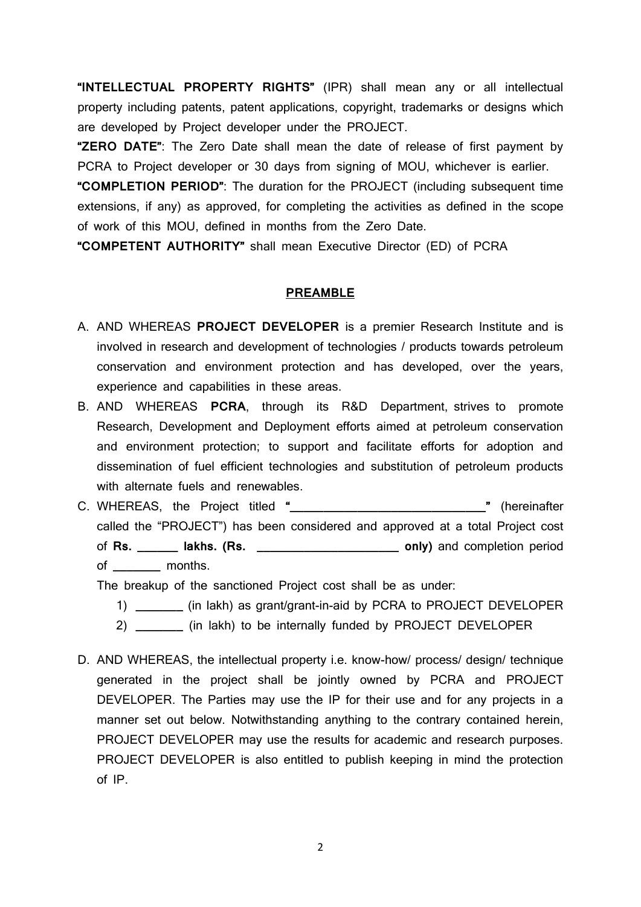**"INTELLECTUAL PROPERTY RIGHTS"** (IPR) shall mean any or all intellectual property including patents, patent applications, copyright, trademarks or designs which are developed by Project developer under the PROJECT.

**"ZERO DATE"**: The Zero Date shall mean the date of release of first payment by PCRA to Project developer or 30 days from signing of MOU, whichever is earlier.

**"COMPLETION PERIOD"**: The duration for the PROJECT (including subsequent time extensions, if any) as approved, for completing the activities as defined in the scope of work of this MOU, defined in months from the Zero Date.

**"COMPETENT AUTHORITY"** shall mean Executive Director (ED) of PCRA

#### **PREAMBLE**

- A. AND WHEREAS **PROJECT DEVELOPER** is a premier Research Institute and is involved in research and development of technologies / products towards petroleum conservation and environment protection and has developed, over the years, experience and capabilities in these areas.
- B. AND WHEREAS **PCRA**, through its R&D Department, strives to promote Research, Development and Deployment efforts aimed at petroleum conservation and environment protection; to support and facilitate efforts for adoption and dissemination of fuel efficient technologies and substitution of petroleum products with alternate fuels and renewables.
- C. WHEREAS, the Project titled **"\_\_\_\_\_\_\_\_\_\_\_\_\_\_\_\_\_\_\_\_\_\_\_\_\_\_\_\_\_"** (hereinafter called the "PROJECT") has been considered and approved at a total Project cost of **Rs. \_\_\_\_\_\_ lakhs. (Rs. \_\_\_\_\_\_\_\_\_\_\_\_\_\_\_\_\_\_\_\_\_ only)** and completion period of **\_\_\_\_\_\_\_** months.

The breakup of the sanctioned Project cost shall be as under:

- 1) **\_\_\_\_\_\_\_** (in lakh) as grant/grant-in-aid by PCRA to PROJECT DEVELOPER
- 2) **\_\_\_\_\_\_\_** (in lakh) to be internally funded by PROJECT DEVELOPER
- D. AND WHEREAS, the intellectual property i.e. know-how/ process/ design/ technique generated in the project shall be jointly owned by PCRA and PROJECT DEVELOPER. The Parties may use the IP for their use and for any projects in a manner set out below. Notwithstanding anything to the contrary contained herein, PROJECT DEVELOPER may use the results for academic and research purposes. PROJECT DEVELOPER is also entitled to publish keeping in mind the protection of IP.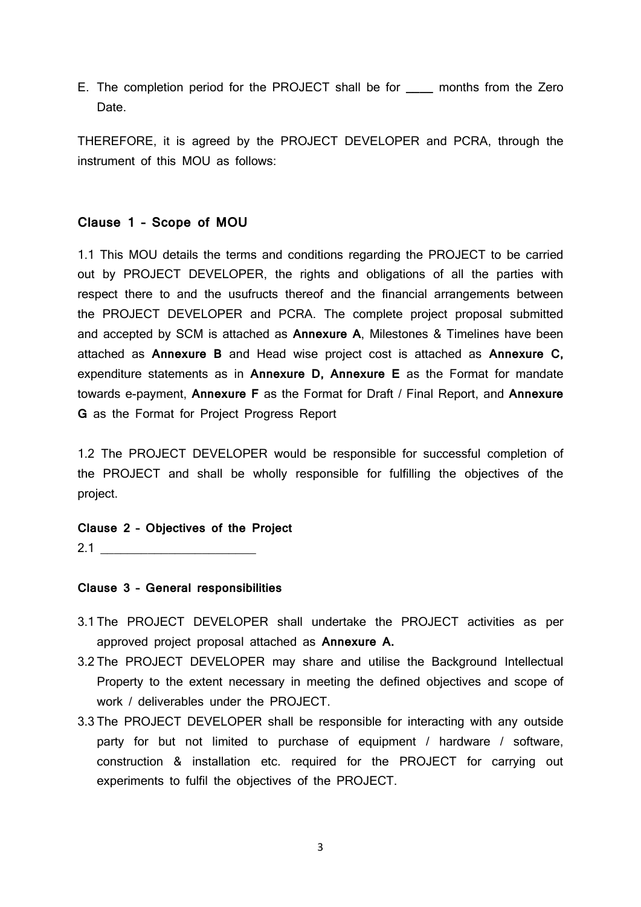E. The completion period for the PROJECT shall be for **\_\_\_\_** months from the Zero Date.

THEREFORE, it is agreed by the PROJECT DEVELOPER and PCRA, through the instrument of this MOU as follows:

#### **Clause 1 – Scope of MOU**

1.1 This MOU details the terms and conditions regarding the PROJECT to be carried out by PROJECT DEVELOPER, the rights and obligations of all the parties with respect there to and the usufructs thereof and the financial arrangements between the PROJECT DEVELOPER and PCRA. The complete project proposal submitted and accepted by SCM is attached as **Annexure A**, Milestones & Timelines have been attached as **Annexure B** and Head wise project cost is attached as **Annexure C,**  expenditure statements as in **Annexure D, Annexure E** as the Format for mandate towards e-payment, **Annexure F** as the Format for Draft / Final Report, and **Annexure G** as the Format for Project Progress Report

1.2 The PROJECT DEVELOPER would be responsible for successful completion of the PROJECT and shall be wholly responsible for fulfilling the objectives of the project.

**Clause 2 – Objectives of the Project**

 $2.1$   $\qquad \qquad$ 

#### **Clause 3 – General responsibilities**

- 3.1 The PROJECT DEVELOPER shall undertake the PROJECT activities as per approved project proposal attached as **Annexure A.**
- 3.2 The PROJECT DEVELOPER may share and utilise the Background Intellectual Property to the extent necessary in meeting the defined objectives and scope of work / deliverables under the PROJECT.
- 3.3 The PROJECT DEVELOPER shall be responsible for interacting with any outside party for but not limited to purchase of equipment / hardware / software, construction & installation etc. required for the PROJECT for carrying out experiments to fulfil the objectives of the PROJECT.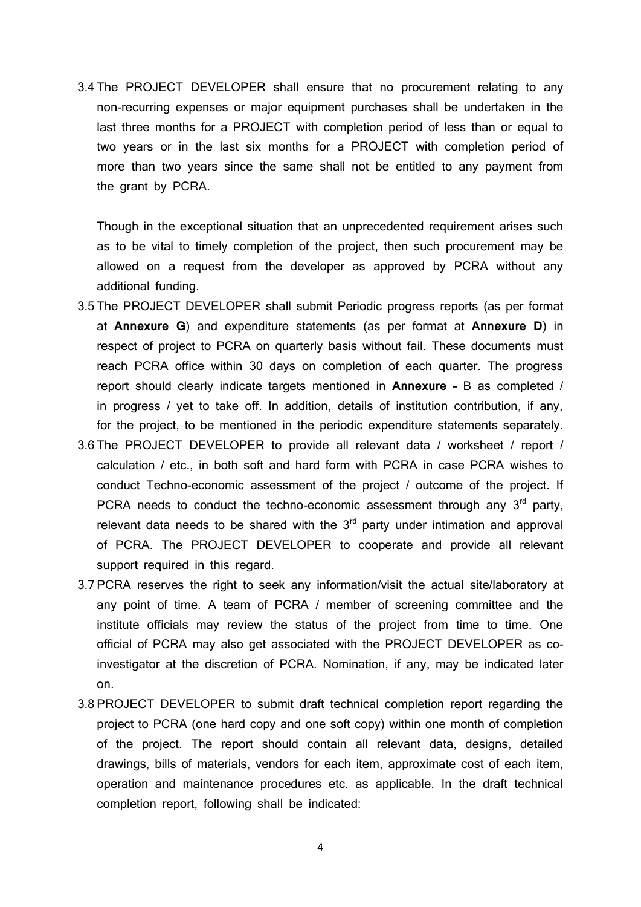3.4 The PROJECT DEVELOPER shall ensure that no procurement relating to any non-recurring expenses or major equipment purchases shall be undertaken in the last three months for a PROJECT with completion period of less than or equal to two years or in the last six months for a PROJECT with completion period of more than two years since the same shall not be entitled to any payment from the grant by PCRA.

Though in the exceptional situation that an unprecedented requirement arises such as to be vital to timely completion of the project, then such procurement may be allowed on a request from the developer as approved by PCRA without any additional funding.

- 3.5 The PROJECT DEVELOPER shall submit Periodic progress reports (as per format at **Annexure G**) and expenditure statements (as per format at **Annexure D**) in respect of project to PCRA on quarterly basis without fail. These documents must reach PCRA office within 30 days on completion of each quarter. The progress report should clearly indicate targets mentioned in **Annexure –** B as completed / in progress / yet to take off. In addition, details of institution contribution, if any, for the project, to be mentioned in the periodic expenditure statements separately.
- 3.6 The PROJECT DEVELOPER to provide all relevant data / worksheet / report / calculation / etc., in both soft and hard form with PCRA in case PCRA wishes to conduct Techno-economic assessment of the project / outcome of the project. If PCRA needs to conduct the techno-economic assessment through any  $3<sup>rd</sup>$  party, relevant data needs to be shared with the  $3<sup>rd</sup>$  party under intimation and approval of PCRA. The PROJECT DEVELOPER to cooperate and provide all relevant support required in this regard.
- 3.7 PCRA reserves the right to seek any information/visit the actual site/laboratory at any point of time. A team of PCRA / member of screening committee and the institute officials may review the status of the project from time to time. One official of PCRA may also get associated with the PROJECT DEVELOPER as coinvestigator at the discretion of PCRA. Nomination, if any, may be indicated later on.
- 3.8 PROJECT DEVELOPER to submit draft technical completion report regarding the project to PCRA (one hard copy and one soft copy) within one month of completion of the project. The report should contain all relevant data, designs, detailed drawings, bills of materials, vendors for each item, approximate cost of each item, operation and maintenance procedures etc. as applicable. In the draft technical completion report, following shall be indicated: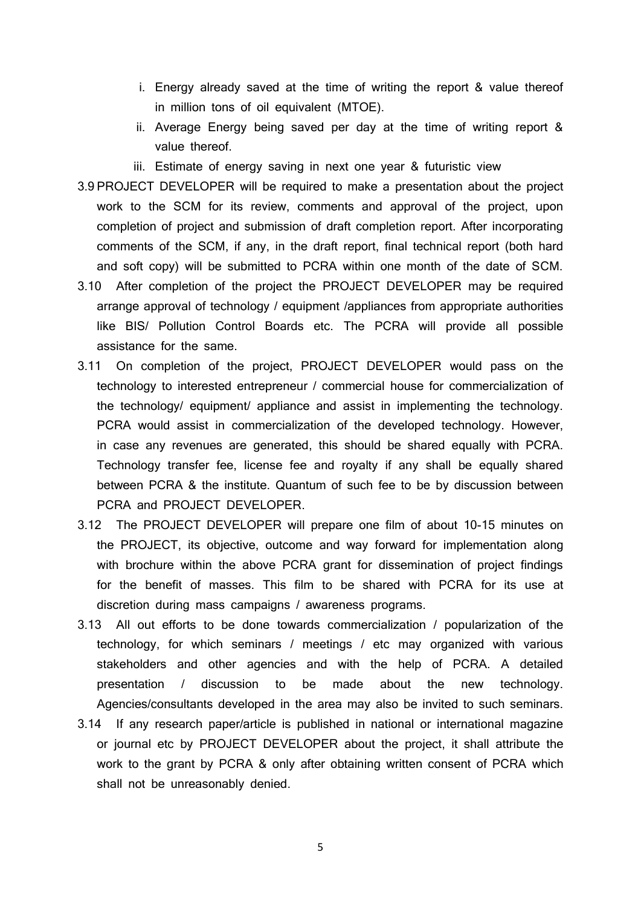- i. Energy already saved at the time of writing the report & value thereof in million tons of oil equivalent (MTOE).
- ii. Average Energy being saved per day at the time of writing report & value thereof.
- iii. Estimate of energy saving in next one year & futuristic view
- 3.9 PROJECT DEVELOPER will be required to make a presentation about the project work to the SCM for its review, comments and approval of the project, upon completion of project and submission of draft completion report. After incorporating comments of the SCM, if any, in the draft report, final technical report (both hard and soft copy) will be submitted to PCRA within one month of the date of SCM.
- 3.10 After completion of the project the PROJECT DEVELOPER may be required arrange approval of technology / equipment /appliances from appropriate authorities like BIS/ Pollution Control Boards etc. The PCRA will provide all possible assistance for the same.
- 3.11 On completion of the project, PROJECT DEVELOPER would pass on the technology to interested entrepreneur / commercial house for commercialization of the technology/ equipment/ appliance and assist in implementing the technology. PCRA would assist in commercialization of the developed technology. However, in case any revenues are generated, this should be shared equally with PCRA. Technology transfer fee, license fee and royalty if any shall be equally shared between PCRA & the institute. Quantum of such fee to be by discussion between PCRA and PROJECT DEVELOPER.
- 3.12 The PROJECT DEVELOPER will prepare one film of about 10-15 minutes on the PROJECT, its objective, outcome and way forward for implementation along with brochure within the above PCRA grant for dissemination of project findings for the benefit of masses. This film to be shared with PCRA for its use at discretion during mass campaigns / awareness programs.
- 3.13 All out efforts to be done towards commercialization / popularization of the technology, for which seminars / meetings / etc may organized with various stakeholders and other agencies and with the help of PCRA. A detailed presentation / discussion to be made about the new technology. Agencies/consultants developed in the area may also be invited to such seminars.
- 3.14 If any research paper/article is published in national or international magazine or journal etc by PROJECT DEVELOPER about the project, it shall attribute the work to the grant by PCRA & only after obtaining written consent of PCRA which shall not be unreasonably denied.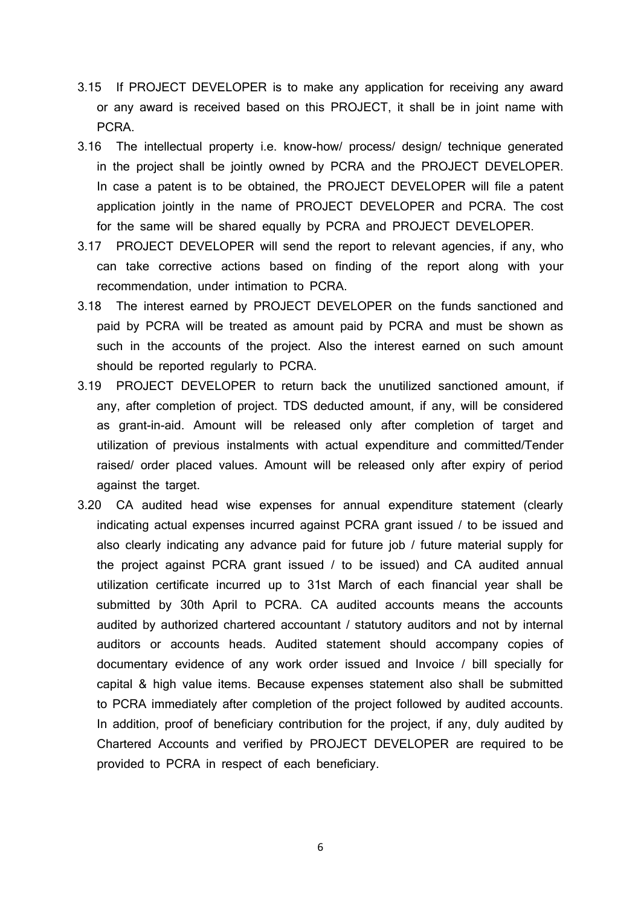- 3.15 If PROJECT DEVELOPER is to make any application for receiving any award or any award is received based on this PROJECT, it shall be in joint name with PCRA.
- 3.16 The intellectual property i.e. know-how/ process/ design/ technique generated in the project shall be jointly owned by PCRA and the PROJECT DEVELOPER. In case a patent is to be obtained, the PROJECT DEVELOPER will file a patent application jointly in the name of PROJECT DEVELOPER and PCRA. The cost for the same will be shared equally by PCRA and PROJECT DEVELOPER.
- 3.17 PROJECT DEVELOPER will send the report to relevant agencies, if any, who can take corrective actions based on finding of the report along with your recommendation, under intimation to PCRA.
- 3.18 The interest earned by PROJECT DEVELOPER on the funds sanctioned and paid by PCRA will be treated as amount paid by PCRA and must be shown as such in the accounts of the project. Also the interest earned on such amount should be reported regularly to PCRA.
- 3.19 PROJECT DEVELOPER to return back the unutilized sanctioned amount, if any, after completion of project. TDS deducted amount, if any, will be considered as grant-in-aid. Amount will be released only after completion of target and utilization of previous instalments with actual expenditure and committed/Tender raised/ order placed values. Amount will be released only after expiry of period against the target.
- 3.20 CA audited head wise expenses for annual expenditure statement (clearly indicating actual expenses incurred against PCRA grant issued / to be issued and also clearly indicating any advance paid for future job / future material supply for the project against PCRA grant issued / to be issued) and CA audited annual utilization certificate incurred up to 31st March of each financial year shall be submitted by 30th April to PCRA. CA audited accounts means the accounts audited by authorized chartered accountant / statutory auditors and not by internal auditors or accounts heads. Audited statement should accompany copies of documentary evidence of any work order issued and Invoice / bill specially for capital & high value items. Because expenses statement also shall be submitted to PCRA immediately after completion of the project followed by audited accounts. In addition, proof of beneficiary contribution for the project, if any, duly audited by Chartered Accounts and verified by PROJECT DEVELOPER are required to be provided to PCRA in respect of each beneficiary.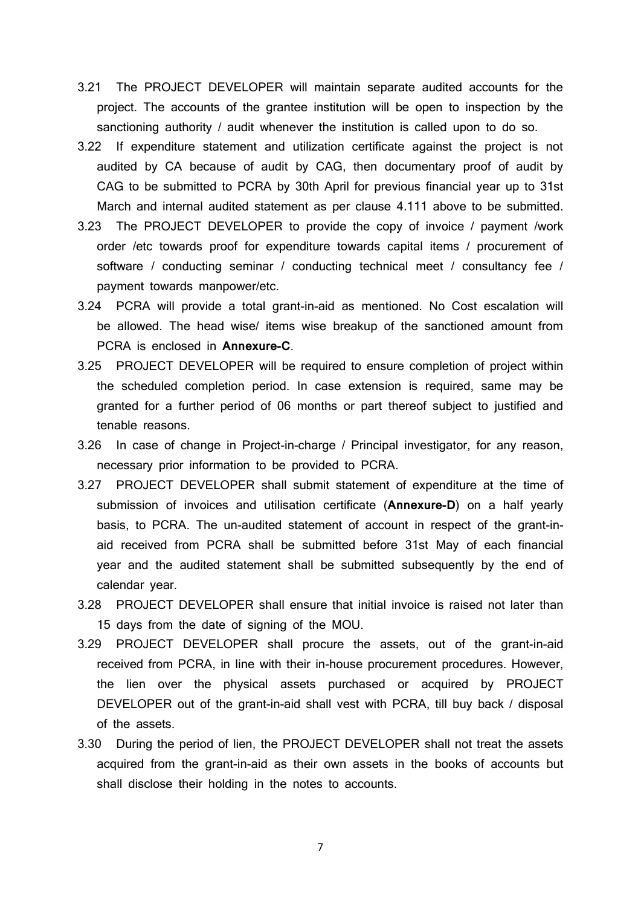- 3.21 The PROJECT DEVELOPER will maintain separate audited accounts for the project. The accounts of the grantee institution will be open to inspection by the sanctioning authority / audit whenever the institution is called upon to do so.
- 3.22 If expenditure statement and utilization certificate against the project is not audited by CA because of audit by CAG, then documentary proof of audit by CAG to be submitted to PCRA by 30th April for previous financial year up to 31st March and internal audited statement as per clause 4.111 above to be submitted.
- 3.23 The PROJECT DEVELOPER to provide the copy of invoice / payment /work order /etc towards proof for expenditure towards capital items / procurement of software / conducting seminar / conducting technical meet / consultancy fee / payment towards manpower/etc.
- 3.24 PCRA will provide a total grant-in-aid as mentioned. No Cost escalation will be allowed. The head wise/ items wise breakup of the sanctioned amount from PCRA is enclosed in **Annexure-C**.
- 3.25 PROJECT DEVELOPER will be required to ensure completion of project within the scheduled completion period. In case extension is required, same may be granted for a further period of 06 months or part thereof subject to justified and tenable reasons.
- 3.26 In case of change in Project-in-charge / Principal investigator, for any reason, necessary prior information to be provided to PCRA.
- 3.27 PROJECT DEVELOPER shall submit statement of expenditure at the time of submission of invoices and utilisation certificate (**Annexure-D**) on a half yearly basis, to PCRA. The un-audited statement of account in respect of the grant-inaid received from PCRA shall be submitted before 31st May of each financial year and the audited statement shall be submitted subsequently by the end of calendar year.
- 3.28 PROJECT DEVELOPER shall ensure that initial invoice is raised not later than 15 days from the date of signing of the MOU.
- 3.29 PROJECT DEVELOPER shall procure the assets, out of the grant-in-aid received from PCRA, in line with their in-house procurement procedures. However, the lien over the physical assets purchased or acquired by PROJECT DEVELOPER out of the grant-in-aid shall vest with PCRA, till buy back / disposal of the assets.
- 3.30 During the period of lien, the PROJECT DEVELOPER shall not treat the assets acquired from the grant-in-aid as their own assets in the books of accounts but shall disclose their holding in the notes to accounts.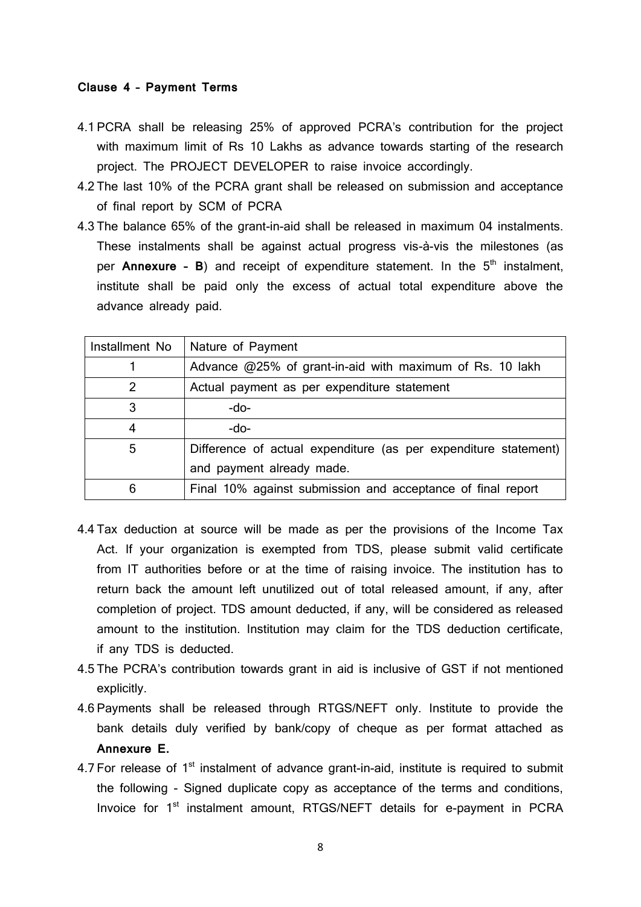#### **Clause 4 – Payment Terms**

- 4.1 PCRA shall be releasing 25% of approved PCRA's contribution for the project with maximum limit of Rs 10 Lakhs as advance towards starting of the research project. The PROJECT DEVELOPER to raise invoice accordingly.
- 4.2 The last 10% of the PCRA grant shall be released on submission and acceptance of final report by SCM of PCRA
- 4.3 The balance 65% of the grant-in-aid shall be released in maximum 04 instalments. These instalments shall be against actual progress vis-à-vis the milestones (as per **Annexure - B**) and receipt of expenditure statement. In the 5<sup>th</sup> instalment, institute shall be paid only the excess of actual total expenditure above the advance already paid.

| Installment No | Nature of Payment                                               |  |
|----------------|-----------------------------------------------------------------|--|
|                | Advance $@25\%$ of grant-in-aid with maximum of Rs. 10 lakh     |  |
| 2              | Actual payment as per expenditure statement                     |  |
| 3              | $-do-$                                                          |  |
| 4              | $-do-$                                                          |  |
| 5              | Difference of actual expenditure (as per expenditure statement) |  |
|                | and payment already made.                                       |  |
| 6              | Final 10% against submission and acceptance of final report     |  |

- 4.4 Tax deduction at source will be made as per the provisions of the Income Tax Act. If your organization is exempted from TDS, please submit valid certificate from IT authorities before or at the time of raising invoice. The institution has to return back the amount left unutilized out of total released amount, if any, after completion of project. TDS amount deducted, if any, will be considered as released amount to the institution. Institution may claim for the TDS deduction certificate, if any TDS is deducted.
- 4.5 The PCRA's contribution towards grant in aid is inclusive of GST if not mentioned explicitly.
- 4.6 Payments shall be released through RTGS/NEFT only. Institute to provide the bank details duly verified by bank/copy of cheque as per format attached as **Annexure E.**
- 4.7 For release of  $1<sup>st</sup>$  instalment of advance grant-in-aid, institute is required to submit the following - Signed duplicate copy as acceptance of the terms and conditions, Invoice for 1<sup>st</sup> instalment amount, RTGS/NEFT details for e-payment in PCRA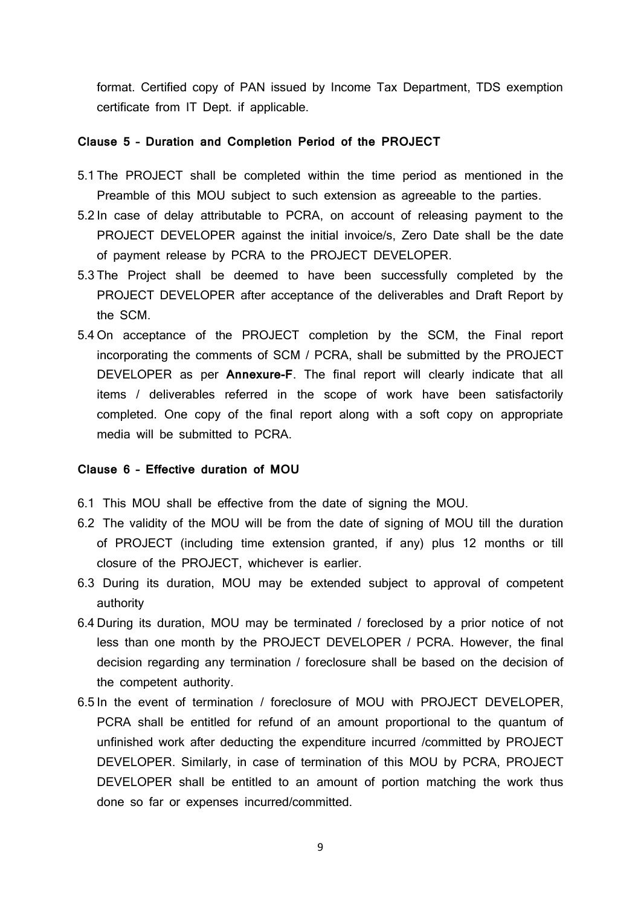format. Certified copy of PAN issued by Income Tax Department, TDS exemption certificate from IT Dept. if applicable.

#### **Clause 5 – Duration and Completion Period of the PROJECT**

- 5.1 The PROJECT shall be completed within the time period as mentioned in the Preamble of this MOU subject to such extension as agreeable to the parties.
- 5.2 In case of delay attributable to PCRA, on account of releasing payment to the PROJECT DEVELOPER against the initial invoice/s, Zero Date shall be the date of payment release by PCRA to the PROJECT DEVELOPER.
- 5.3 The Project shall be deemed to have been successfully completed by the PROJECT DEVELOPER after acceptance of the deliverables and Draft Report by the SCM.
- 5.4 On acceptance of the PROJECT completion by the SCM, the Final report incorporating the comments of SCM / PCRA, shall be submitted by the PROJECT DEVELOPER as per **Annexure-F**. The final report will clearly indicate that all items / deliverables referred in the scope of work have been satisfactorily completed. One copy of the final report along with a soft copy on appropriate media will be submitted to PCRA.

#### **Clause 6 – Effective duration of MOU**

- 6.1 This MOU shall be effective from the date of signing the MOU.
- 6.2 The validity of the MOU will be from the date of signing of MOU till the duration of PROJECT (including time extension granted, if any) plus 12 months or till closure of the PROJECT, whichever is earlier.
- 6.3 During its duration, MOU may be extended subject to approval of competent authority
- 6.4 During its duration, MOU may be terminated / foreclosed by a prior notice of not less than one month by the PROJECT DEVELOPER / PCRA. However, the final decision regarding any termination / foreclosure shall be based on the decision of the competent authority.
- 6.5 In the event of termination / foreclosure of MOU with PROJECT DEVELOPER, PCRA shall be entitled for refund of an amount proportional to the quantum of unfinished work after deducting the expenditure incurred /committed by PROJECT DEVELOPER. Similarly, in case of termination of this MOU by PCRA, PROJECT DEVELOPER shall be entitled to an amount of portion matching the work thus done so far or expenses incurred/committed.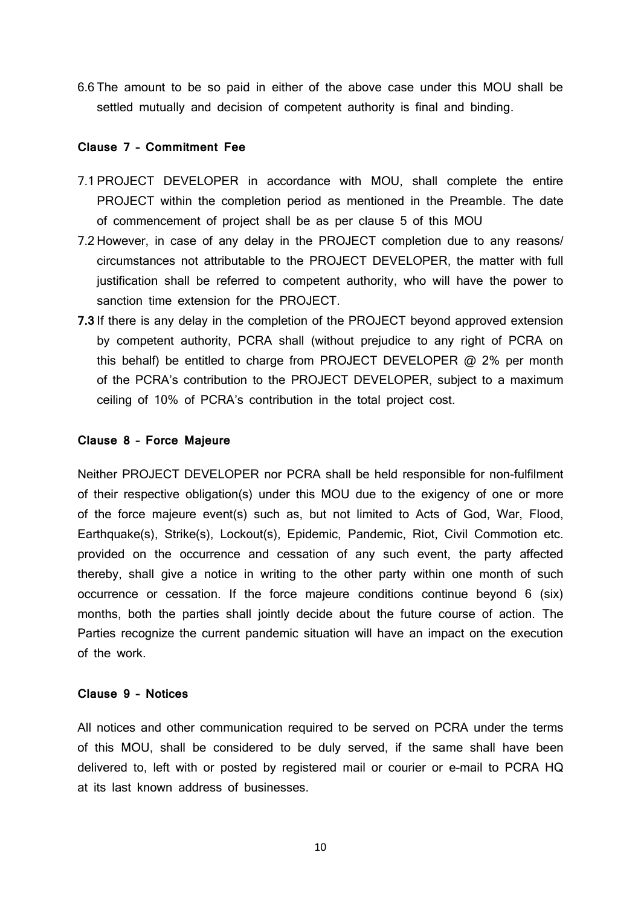6.6 The amount to be so paid in either of the above case under this MOU shall be settled mutually and decision of competent authority is final and binding.

#### **Clause 7 – Commitment Fee**

- 7.1 PROJECT DEVELOPER in accordance with MOU, shall complete the entire PROJECT within the completion period as mentioned in the Preamble. The date of commencement of project shall be as per clause 5 of this MOU
- 7.2 However, in case of any delay in the PROJECT completion due to any reasons/ circumstances not attributable to the PROJECT DEVELOPER, the matter with full justification shall be referred to competent authority, who will have the power to sanction time extension for the PROJECT.
- **7.3** If there is any delay in the completion of the PROJECT beyond approved extension by competent authority, PCRA shall (without prejudice to any right of PCRA on this behalf) be entitled to charge from PROJECT DEVELOPER @ 2% per month of the PCRA's contribution to the PROJECT DEVELOPER, subject to a maximum ceiling of 10% of PCRA's contribution in the total project cost.

#### **Clause 8 – Force Majeure**

Neither PROJECT DEVELOPER nor PCRA shall be held responsible for non-fulfilment of their respective obligation(s) under this MOU due to the exigency of one or more of the force majeure event(s) such as, but not limited to Acts of God, War, Flood, Earthquake(s), Strike(s), Lockout(s), Epidemic, Pandemic, Riot, Civil Commotion etc. provided on the occurrence and cessation of any such event, the party affected thereby, shall give a notice in writing to the other party within one month of such occurrence or cessation. If the force majeure conditions continue beyond 6 (six) months, both the parties shall jointly decide about the future course of action. The Parties recognize the current pandemic situation will have an impact on the execution of the work.

#### **Clause 9 – Notices**

All notices and other communication required to be served on PCRA under the terms of this MOU, shall be considered to be duly served, if the same shall have been delivered to, left with or posted by registered mail or courier or e-mail to PCRA HQ at its last known address of businesses.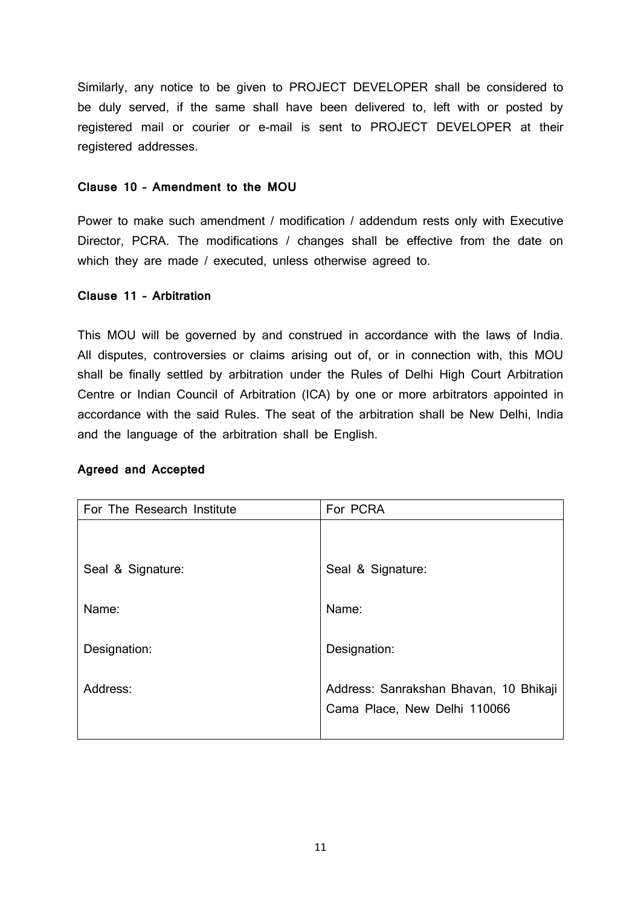Similarly, any notice to be given to PROJECT DEVELOPER shall be considered to be duly served, if the same shall have been delivered to, left with or posted by registered mail or courier or e-mail is sent to PROJECT DEVELOPER at their registered addresses.

#### **Clause 10 – Amendment to the MOU**

Power to make such amendment / modification / addendum rests only with Executive Director, PCRA. The modifications / changes shall be effective from the date on which they are made / executed, unless otherwise agreed to.

### **Clause 11 – Arbitration**

This MOU will be governed by and construed in accordance with the laws of India. All disputes, controversies or claims arising out of, or in connection with, this MOU shall be finally settled by arbitration under the Rules of Delhi High Court Arbitration Centre or Indian Council of Arbitration (ICA) by one or more arbitrators appointed in accordance with the said Rules. The seat of the arbitration shall be New Delhi, India and the language of the arbitration shall be English.

#### **Agreed and Accepted**

| For The Research Institute | For PCRA                                                               |  |
|----------------------------|------------------------------------------------------------------------|--|
|                            |                                                                        |  |
| Seal & Signature:          | Seal & Signature:                                                      |  |
| Name:                      | Name:                                                                  |  |
| Designation:               | Designation:                                                           |  |
| Address:                   | Address: Sanrakshan Bhavan, 10 Bhikaji<br>Cama Place, New Delhi 110066 |  |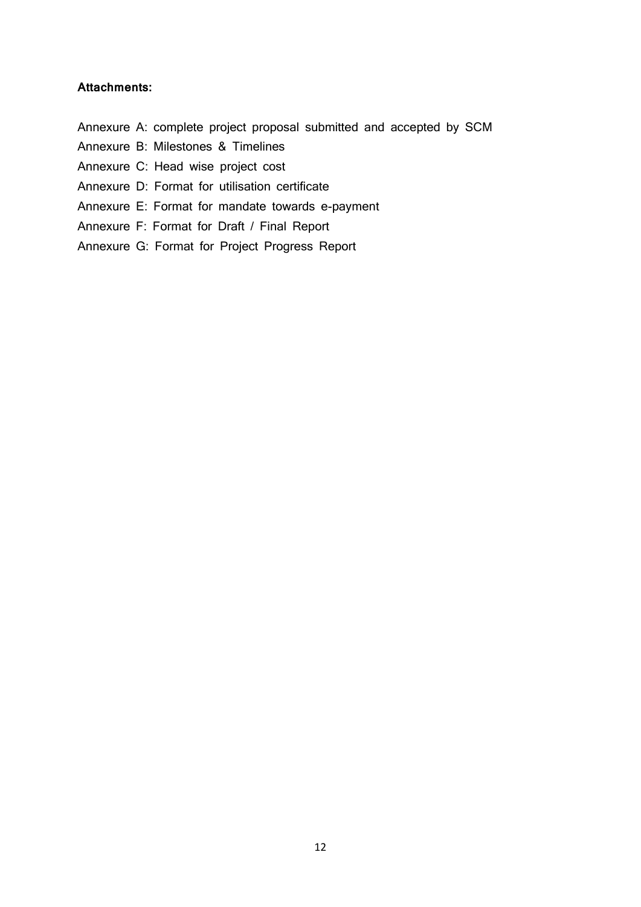#### **Attachments:**

- Annexure A: complete project proposal submitted and accepted by SCM
- Annexure B: Milestones & Timelines

Annexure C: Head wise project cost

- Annexure D: Format for utilisation certificate
- Annexure E: Format for mandate towards e-payment
- Annexure F: Format for Draft / Final Report
- Annexure G: Format for Project Progress Report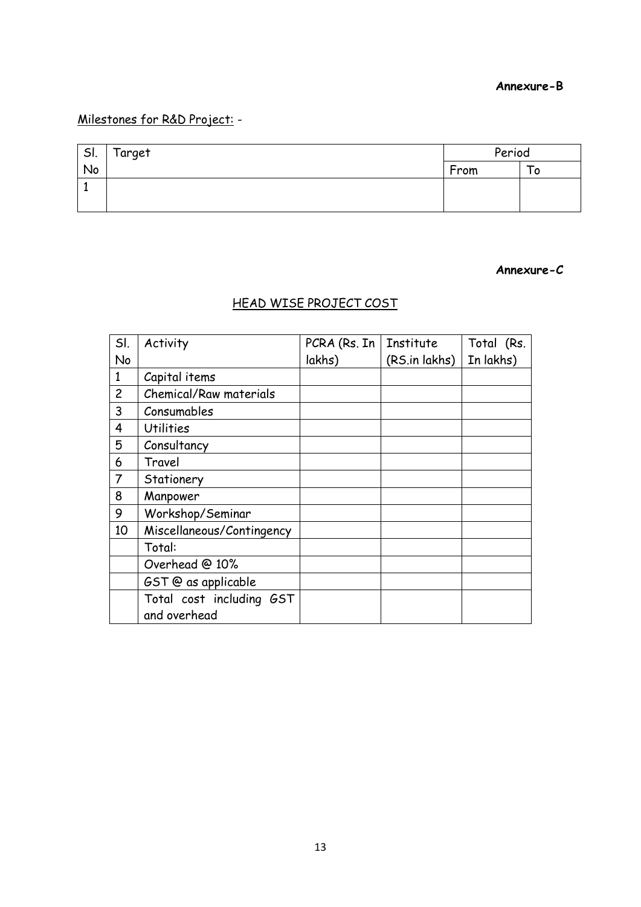### **Annexure-B**

## Milestones for R&D Project: -

| SI. | Target | Period |   |
|-----|--------|--------|---|
| No  |        | From   | o |
|     |        |        |   |
|     |        |        |   |

#### **Annexure-C**

## HEAD WISE PROJECT COST

| SI.            | Activity                  | PCRA (Rs. In | Institute     | Total (Rs. |
|----------------|---------------------------|--------------|---------------|------------|
| No             |                           | lakhs)       | (RS.in lakhs) | In lakhs)  |
| $\mathbf{1}$   | Capital items             |              |               |            |
| $\overline{c}$ | Chemical/Raw materials    |              |               |            |
| 3              | Consumables               |              |               |            |
| 4              | <b>Utilities</b>          |              |               |            |
| 5              | Consultancy               |              |               |            |
| 6              | Travel                    |              |               |            |
| $\overline{7}$ | Stationery                |              |               |            |
| 8              | Manpower                  |              |               |            |
| 9              | Workshop/Seminar          |              |               |            |
| 10             | Miscellaneous/Contingency |              |               |            |
|                | Total:                    |              |               |            |
|                | Overhead @ 10%            |              |               |            |
|                | GST @ as applicable       |              |               |            |
|                | Total cost including GST  |              |               |            |
|                | and overhead              |              |               |            |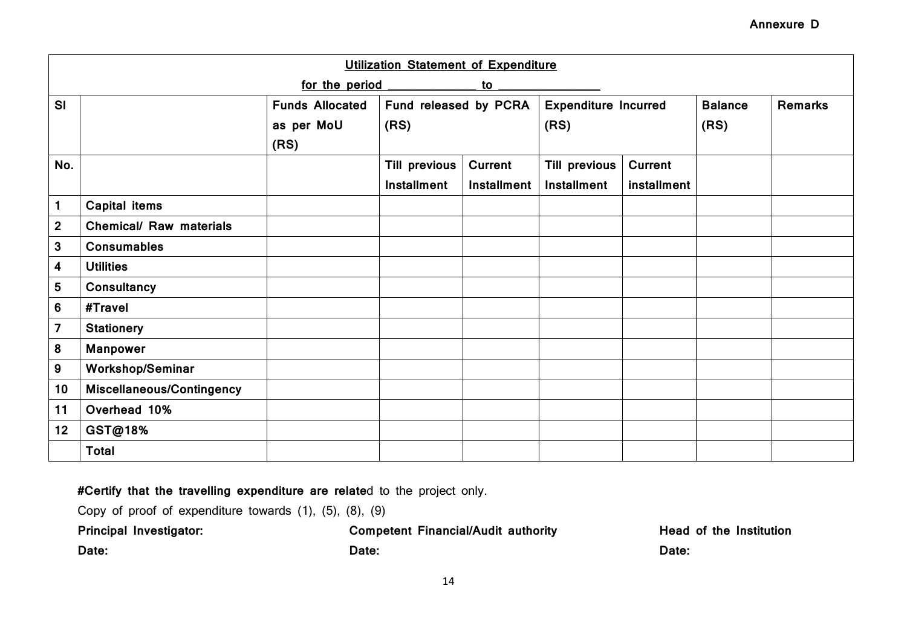|                         |                                |                        | Utilization Statement of Expenditure |                    |                             |                |                |                |
|-------------------------|--------------------------------|------------------------|--------------------------------------|--------------------|-----------------------------|----------------|----------------|----------------|
|                         |                                | for the period         |                                      | to                 |                             |                |                |                |
| SI                      |                                | <b>Funds Allocated</b> | Fund released by PCRA                |                    | <b>Expenditure Incurred</b> |                | <b>Balance</b> | <b>Remarks</b> |
|                         |                                | as per MoU             | (RS)                                 |                    | (RS)                        |                | (RS)           |                |
|                         |                                | (RS)                   |                                      |                    |                             |                |                |                |
| No.                     |                                |                        | <b>Till previous</b>                 | <b>Current</b>     | <b>Till previous</b>        | <b>Current</b> |                |                |
|                         |                                |                        | <b>Installment</b>                   | <b>Installment</b> | <b>Installment</b>          | installment    |                |                |
| $\mathbf{1}$            | <b>Capital items</b>           |                        |                                      |                    |                             |                |                |                |
| $\mathbf 2$             | <b>Chemical/ Raw materials</b> |                        |                                      |                    |                             |                |                |                |
| 3                       | <b>Consumables</b>             |                        |                                      |                    |                             |                |                |                |
| $\overline{\mathbf{4}}$ | <b>Utilities</b>               |                        |                                      |                    |                             |                |                |                |
| $5\phantom{.0}$         | Consultancy                    |                        |                                      |                    |                             |                |                |                |
| 6                       | #Travel                        |                        |                                      |                    |                             |                |                |                |
| $\overline{\mathbf{z}}$ | <b>Stationery</b>              |                        |                                      |                    |                             |                |                |                |
| 8                       | <b>Manpower</b>                |                        |                                      |                    |                             |                |                |                |
| 9                       | <b>Workshop/Seminar</b>        |                        |                                      |                    |                             |                |                |                |
| 10                      | Miscellaneous/Contingency      |                        |                                      |                    |                             |                |                |                |
| 11                      | Overhead 10%                   |                        |                                      |                    |                             |                |                |                |
| 12                      | GST@18%                        |                        |                                      |                    |                             |                |                |                |
|                         | <b>Total</b>                   |                        |                                      |                    |                             |                |                |                |

**#Certify that the travelling expenditure are relate**d to the project only.

| Copy of proof of expenditure towards $(1)$ , $(5)$ , $(8)$ , $(9)$ |                                            |                                |
|--------------------------------------------------------------------|--------------------------------------------|--------------------------------|
| Principal Investigator:                                            | <b>Competent Financial/Audit authority</b> | <b>Head of the Institution</b> |
| Date:                                                              | Date:                                      | Date:                          |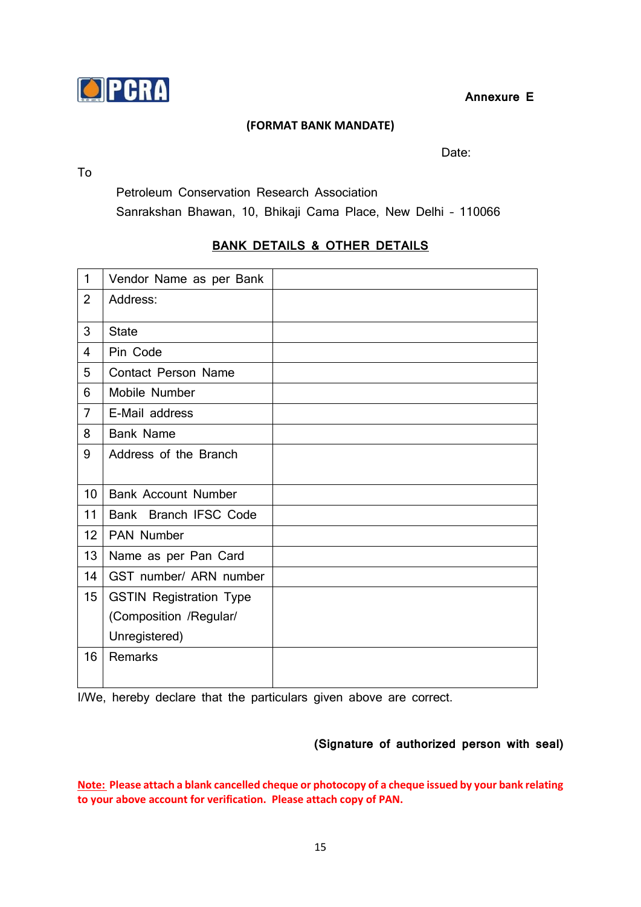

**Annexure E**

## **(FORMAT BANK MANDATE)**

To

Date:

Petroleum Conservation Research Association

Sanrakshan Bhawan, 10, Bhikaji Cama Place, New Delhi – 110066

## **BANK DETAILS & OTHER DETAILS**

| $\mathbf{1}$     | Vendor Name as per Bank        |  |
|------------------|--------------------------------|--|
| $\overline{2}$   | Address:                       |  |
| 3                | <b>State</b>                   |  |
| $\overline{4}$   | Pin Code                       |  |
| 5                | <b>Contact Person Name</b>     |  |
| 6                | Mobile Number                  |  |
| $\overline{7}$   | E-Mail address                 |  |
| 8                | <b>Bank Name</b>               |  |
| 9                | Address of the Branch          |  |
|                  |                                |  |
| 10               | <b>Bank Account Number</b>     |  |
| 11               | Bank Branch IFSC Code          |  |
| 12               | <b>PAN Number</b>              |  |
| 13               | Name as per Pan Card           |  |
| 14               | GST number/ ARN number         |  |
| 15 <sub>15</sub> | <b>GSTIN Registration Type</b> |  |
|                  | (Composition /Regular/         |  |
|                  | Unregistered)                  |  |
| 16               | Remarks                        |  |

I/We, hereby declare that the particulars given above are correct.

## **(Signature of authorized person with seal)**

**Note: Please attach a blank cancelled cheque or photocopy of a cheque issued by your bank relating to your above account for verification. Please attach copy of PAN.**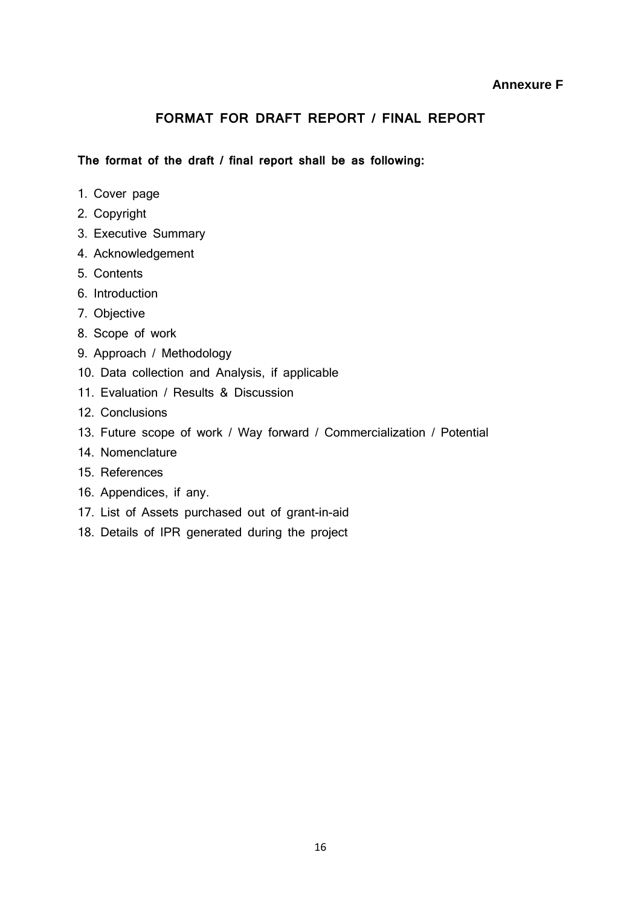### **Annexure F**

## **FORMAT FOR DRAFT REPORT / FINAL REPORT**

**The format of the draft / final report shall be as following:**

- 1. Cover page
- 2. Copyright
- 3. Executive Summary
- 4. Acknowledgement
- 5. Contents
- 6. Introduction
- 7. Objective
- 8. Scope of work
- 9. Approach / Methodology
- 10. Data collection and Analysis, if applicable
- 11. Evaluation / Results & Discussion
- 12. Conclusions
- 13. Future scope of work / Way forward / Commercialization / Potential
- 14. Nomenclature
- 15. References
- 16. Appendices, if any.
- 17. List of Assets purchased out of grant-in-aid
- 18. Details of IPR generated during the project